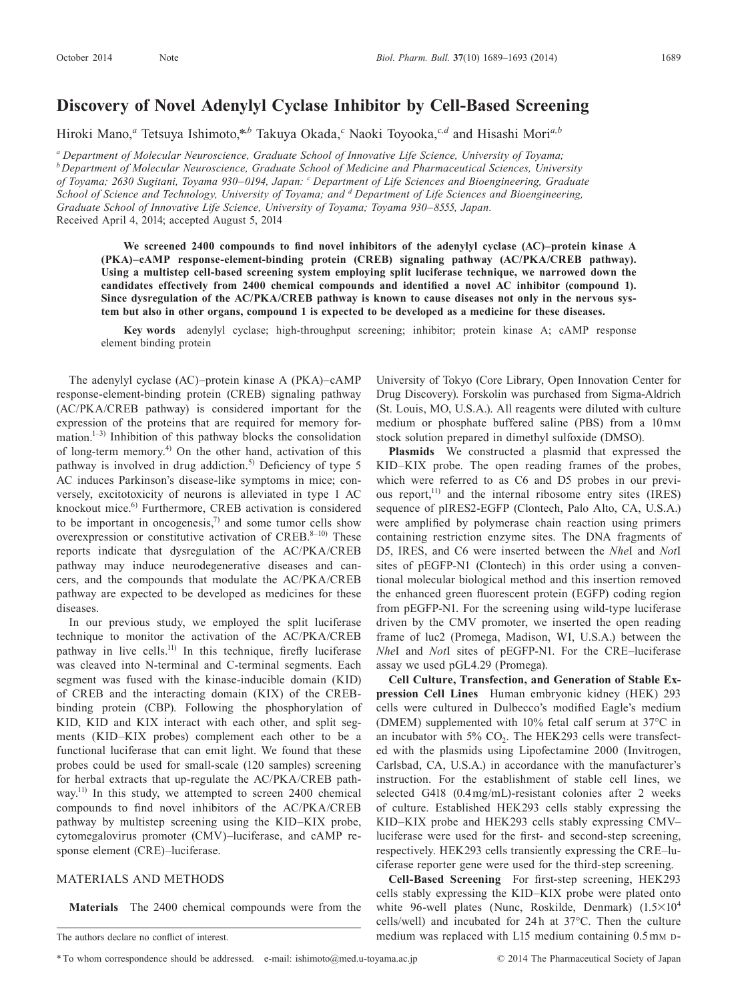# **Discovery of Novel Adenylyl Cyclase Inhibitor by Cell-Based Screening**

Hiroki Mano,<sup>*a*</sup> Tetsuya Ishimoto,\*,<sup>*b*</sup> Takuya Okada,<sup>*c*</sup> Naoki Toyooka,<sup>c,*d*</sup> and Hisashi Mori<sup>a,*b*</sup>

*a Department of Molecular Neuroscience, Graduate School of Innovative Life Science, University of Toyama; b* Department of Molecular Neuroscience, Graduate School of Medicine and Pharmaceutical Sciences, University *of Toyama; 2630 Sugitani, Toyama 930–0194, Japan: <sup>c</sup> Department of Life Sciences and Bioengineering, Graduate*  School of Science and Technology, University of Toyama; and <sup>*d*</sup> Department of Life Sciences and Bioengineering, *Graduate School of Innovative Life Science, University of Toyama; Toyama 930–8555, Japan.* Received April 4, 2014; accepted August 5, 2014

We screened 2400 compounds to find novel inhibitors of the adenylyl cyclase (AC)–protein kinase A **(PKA)–cAMP response-element-binding protein (CREB) signaling pathway (AC/PKA/CREB pathway). Using a multistep cell-based screening system employing split luciferase technique, we narrowed down the candidates effectively from 2400 chemical compounds and identified a novel AC inhibitor (compound 1). Since dysregulation of the AC/PKA/CREB pathway is known to cause diseases not only in the nervous system but also in other organs, compound 1 is expected to be developed as a medicine for these diseases.**

**Key words** adenylyl cyclase; high-throughput screening; inhibitor; protein kinase A; cAMP response element binding protein

The adenylyl cyclase (AC)–protein kinase A (PKA)–cAMP response-element-binding protein (CREB) signaling pathway (AC/PKA/CREB pathway) is considered important for the expression of the proteins that are required for memory formation. $1-3$ ) Inhibition of this pathway blocks the consolidation of long-term memory.4) On the other hand, activation of this pathway is involved in drug addiction.<sup>5)</sup> Deficiency of type 5 AC induces Parkinson's disease-like symptoms in mice; conversely, excitotoxicity of neurons is alleviated in type 1 AC knockout mice.<sup>6)</sup> Furthermore, CREB activation is considered to be important in oncogenesis, $\frac{7}{2}$  and some tumor cells show overexpression or constitutive activation of CREB.<sup>8–10)</sup> These reports indicate that dysregulation of the AC/PKA/CREB pathway may induce neurodegenerative diseases and cancers, and the compounds that modulate the AC/PKA/CREB pathway are expected to be developed as medicines for these diseases.

In our previous study, we employed the split luciferase technique to monitor the activation of the AC/PKA/CREB pathway in live cells.<sup>11)</sup> In this technique, firefly luciferase was cleaved into N-terminal and C-terminal segments. Each segment was fused with the kinase-inducible domain (KID) of CREB and the interacting domain (KIX) of the CREBbinding protein (CBP). Following the phosphorylation of KID, KID and KIX interact with each other, and split segments (KID–KIX probes) complement each other to be a functional luciferase that can emit light. We found that these probes could be used for small-scale (120 samples) screening for herbal extracts that up-regulate the AC/PKA/CREB pathway.<sup>11)</sup> In this study, we attempted to screen 2400 chemical compounds to find novel inhibitors of the AC/PKA/CREB pathway by multistep screening using the KID–KIX probe, cytomegalovirus promoter (CMV)–luciferase, and cAMP response element (CRE)–luciferase.

## MATERIALS AND METHODS

**Materials** The 2400 chemical compounds were from the

\*To whom correspondence should be addressed. e-mail: ishimoto@med.u-toyama.ac.jp

University of Tokyo (Core Library, Open Innovation Center for Drug Discovery). Forskolin was purchased from Sigma-Aldrich (St. Louis, MO, U.S.A.). All reagents were diluted with culture medium or phosphate buffered saline (PBS) from a  $10 \text{mm}$ stock solution prepared in dimethyl sulfoxide (DMSO).

**Plasmids** We constructed a plasmid that expressed the KID–KIX probe. The open reading frames of the probes, which were referred to as C6 and D5 probes in our previous report,<sup>11)</sup> and the internal ribosome entry sites (IRES) sequence of pIRES2-EGFP (Clontech, Palo Alto, CA, U.S.A.) were amplified by polymerase chain reaction using primers containing restriction enzyme sites. The DNA fragments of D5, IRES, and C6 were inserted between the *Nhe*I and *Not*I sites of pEGFP-N1 (Clontech) in this order using a conventional molecular biological method and this insertion removed the enhanced green fluorescent protein (EGFP) coding region from pEGFP-N1. For the screening using wild-type luciferase driven by the CMV promoter, we inserted the open reading frame of luc2 (Promega, Madison, WI, U.S.A.) between the *Nhe*I and *Not*I sites of pEGFP-N1. For the CRE–luciferase assay we used pGL4.29 (Promega).

**Cell Culture, Transfection, and Generation of Stable Expression Cell Lines** Human embryonic kidney (HEK) 293 cells were cultured in Dulbecco's modified Eagle's medium (DMEM) supplemented with 10% fetal calf serum at 37°C in an incubator with 5%  $CO<sub>2</sub>$ . The HEK293 cells were transfected with the plasmids using Lipofectamine 2000 (Invitrogen, Carlsbad, CA, U.S.A.) in accordance with the manufacturer's instruction. For the establishment of stable cell lines, we selected G418 (0.4 mg/mL)-resistant colonies after 2 weeks of culture. Established HEK293 cells stably expressing the KID–KIX probe and HEK293 cells stably expressing CMV– luciferase were used for the first- and second-step screening, respectively. HEK293 cells transiently expressing the CRE–luciferase reporter gene were used for the third-step screening.

**Cell-Based Screening** For first-step screening, HEK293 cells stably expressing the KID–KIX probe were plated onto white 96-well plates (Nunc, Roskilde, Denmark)  $(1.5 \times 10^4$ cells/well) and incubated for  $24h$  at  $37^{\circ}$ C. Then the culture medium was replaced with L15 medium containing 0.5 mm D-

The authors declare no conflict of interest.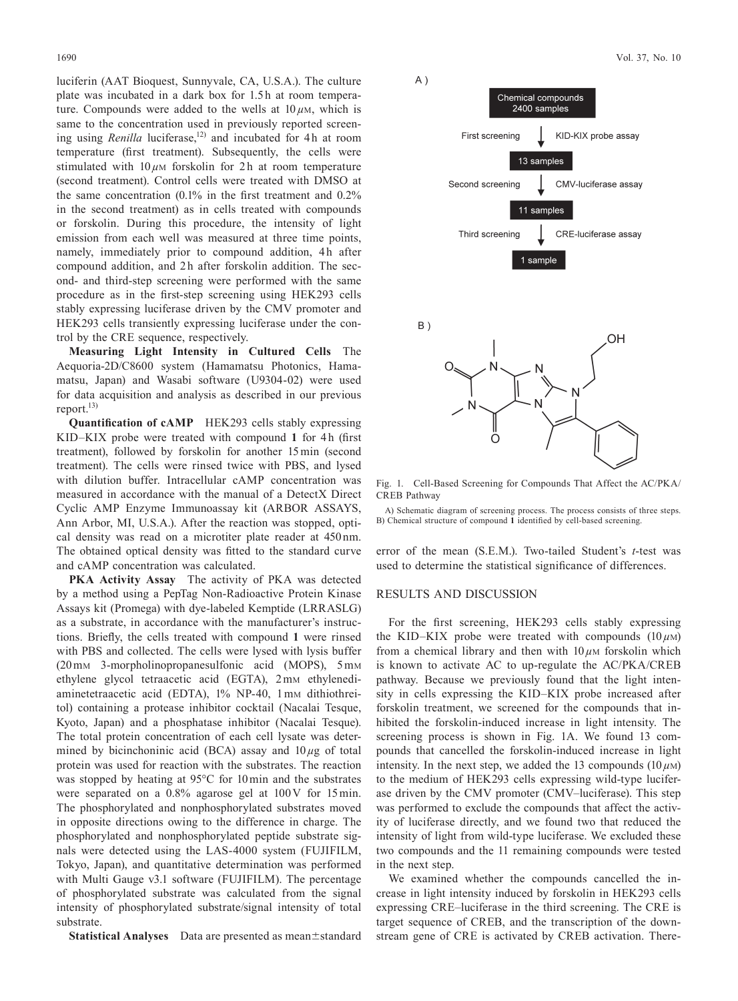luciferin (AAT Bioquest, Sunnyvale, CA, U.S.A.). The culture plate was incubated in a dark box for 1.5 h at room temperature. Compounds were added to the wells at  $10 \mu$ <sub>M</sub>, which is same to the concentration used in previously reported screening using *Renilla* luciferase,<sup>12)</sup> and incubated for 4h at room temperature (first treatment). Subsequently, the cells were stimulated with  $10 \mu$ M forskolin for 2h at room temperature (second treatment). Control cells were treated with DMSO at the same concentration (0.1% in the first treatment and 0.2% in the second treatment) as in cells treated with compounds or forskolin. During this procedure, the intensity of light emission from each well was measured at three time points, namely, immediately prior to compound addition, 4h after compound addition, and 2h after forskolin addition. The second- and third-step screening were performed with the same procedure as in the first-step screening using HEK293 cells stably expressing luciferase driven by the CMV promoter and HEK293 cells transiently expressing luciferase under the control by the CRE sequence, respectively.

**Measuring Light Intensity in Cultured Cells** The Aequoria-2D/C8600 system (Hamamatsu Photonics, Hamamatsu, Japan) and Wasabi software (U9304-02) were used for data acquisition and analysis as described in our previous report.13)

**Quantification of cAMP** HEK293 cells stably expressing KID–KIX probe were treated with compound 1 for 4h (first treatment), followed by forskolin for another 15 min (second treatment). The cells were rinsed twice with PBS, and lysed with dilution buffer. Intracellular cAMP concentration was measured in accordance with the manual of a DetectX Direct Cyclic AMP Enzyme Immunoassay kit (ARBOR ASSAYS, Ann Arbor, MI, U.S.A.). After the reaction was stopped, optical density was read on a microtiter plate reader at 450 nm. The obtained optical density was fitted to the standard curve and cAMP concentration was calculated.

**PKA Activity Assay** The activity of PKA was detected by a method using a PepTag Non-Radioactive Protein Kinase Assays kit (Promega) with dye-labeled Kemptide (LRRASLG) as a substrate, in accordance with the manufacturer's instructions. Briefly, the cells treated with compound **1** were rinsed with PBS and collected. The cells were lysed with lysis buffer (20 mM 3-morpholinopropanesulfonic acid (MOPS), 5 mM ethylene glycol tetraacetic acid (EGTA), 2mm ethylenediaminetetraacetic acid (EDTA), 1% NP-40, 1 mm dithiothreitol) containing a protease inhibitor cocktail (Nacalai Tesque, Kyoto, Japan) and a phosphatase inhibitor (Nacalai Tesque). The total protein concentration of each cell lysate was determined by bicinchoninic acid (BCA) assay and 10 *µ*g of total protein was used for reaction with the substrates. The reaction was stopped by heating at 95°C for 10 min and the substrates were separated on a 0.8% agarose gel at 100V for 15 min. The phosphorylated and nonphosphorylated substrates moved in opposite directions owing to the difference in charge. The phosphorylated and nonphosphorylated peptide substrate signals were detected using the LAS-4000 system (FUJIFILM, Tokyo, Japan), and quantitative determination was performed with Multi Gauge v3.1 software (FUJIFILM). The percentage of phosphorylated substrate was calculated from the signal intensity of phosphorylated substrate/signal intensity of total substrate.

**Statistical Analyses** Data are presented as mean±standard



Fig. 1. Cell-Based Screening for Compounds That Affect the AC/PKA/ CREB Pathway

A) Schematic diagram of screening process. The process consists of three steps. B) Chemical structure of compound **1** identified by cell-based screening.

error of the mean (S.E.M.). Two-tailed Student's *t*-test was used to determine the statistical significance of differences.

#### RESULTS AND DISCUSSION

For the first screening, HEK293 cells stably expressing the KID–KIX probe were treated with compounds  $(10 \mu)$ from a chemical library and then with  $10 \mu$ M forskolin which is known to activate AC to up-regulate the AC/PKA/CREB pathway. Because we previously found that the light intensity in cells expressing the KID–KIX probe increased after forskolin treatment, we screened for the compounds that inhibited the forskolin-induced increase in light intensity. The screening process is shown in Fig. 1A. We found 13 compounds that cancelled the forskolin-induced increase in light intensity. In the next step, we added the 13 compounds  $(10 \mu)$ to the medium of HEK293 cells expressing wild-type luciferase driven by the CMV promoter (CMV–luciferase). This step was performed to exclude the compounds that affect the activity of luciferase directly, and we found two that reduced the intensity of light from wild-type luciferase. We excluded these two compounds and the 11 remaining compounds were tested in the next step.

We examined whether the compounds cancelled the increase in light intensity induced by forskolin in HEK293 cells expressing CRE–luciferase in the third screening. The CRE is target sequence of CREB, and the transcription of the downstream gene of CRE is activated by CREB activation. There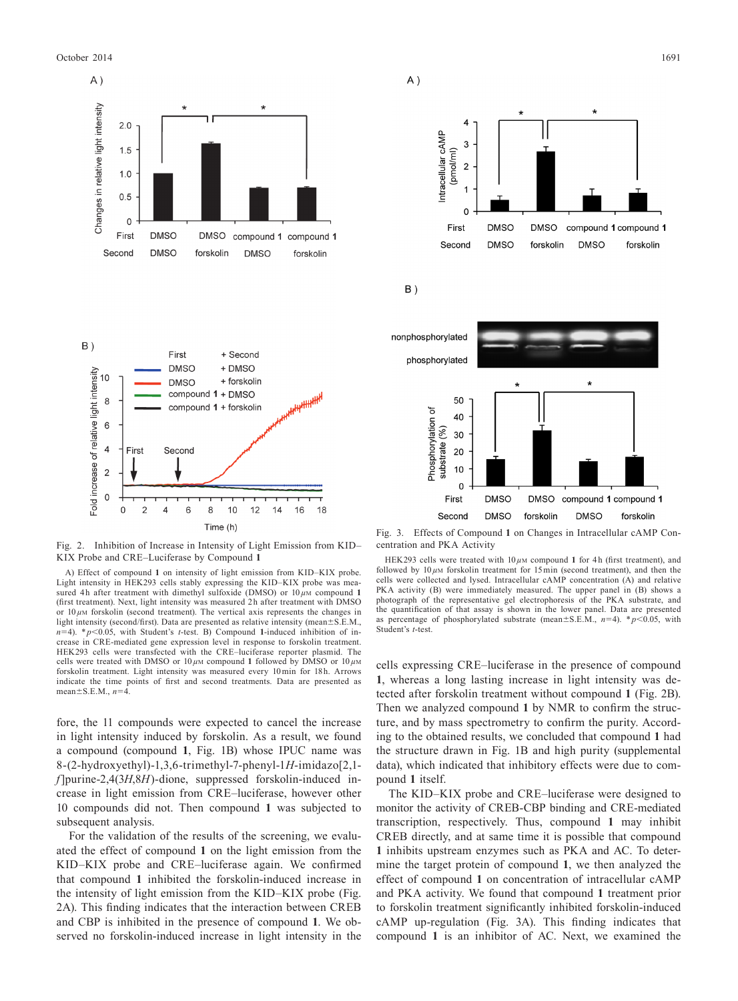October 2014 **1691** 1691





Fig. 2. Inhibition of Increase in Intensity of Light Emission from KID– KIX Probe and CRE–Luciferase by Compound **1**

A) Effect of compound **1** on intensity of light emission from KID–KIX probe. Light intensity in HEK293 cells stably expressing the KID–KIX probe was measured 4h after treatment with dimethyl sulfoxide (DMSO) or  $10 \mu$ M compound 1 (first treatment). Next, light intensity was measured 2 h after treatment with DMSO or  $10 \mu$ M forskolin (second treatment). The vertical axis represents the changes in light intensity (second/first). Data are presented as relative intensity (mean±S.E.M.,  $n=4$ ). \*  $p<0.05$ , with Student's *t*-test. B) Compound 1-induced inhibition of increase in CRE-mediated gene expression level in response to forskolin treatment. HEK293 cells were transfected with the CRE–luciferase reporter plasmid. The cells were treated with DMSO or  $10 \mu$ M compound 1 followed by DMSO or  $10 \mu$ M forskolin treatment. Light intensity was measured every 10 min for 18 h Arrows indicate the time points of first and second treatments. Data are presented as mean±S.E.M., *n*=4.

fore, the 11 compounds were expected to cancel the increase in light intensity induced by forskolin. As a result, we found a compound (compound **1**, Fig. 1B) whose IPUC name was 8-(2-hydroxyethyl)-1,3,6-trimethyl-7-phenyl-1*H*-imidazo[2,1 *f*] purine-2,4(3*H*,8*H*)-dione, suppressed forskolin-induced increase in light emission from CRE–luciferase, however other 10 compounds did not. Then compound **1** was subjected to subsequent analysis.

For the validation of the results of the screening, we evaluated the effect of compound **1** on the light emission from the KID–KIX probe and CRE–luciferase again. We confirmed that compound **1** inhibited the forskolin-induced increase in the intensity of light emission from the KID–KIX probe (Fig. 2A). This finding indicates that the interaction between CREB and CBP is inhibited in the presence of compound **1**. We observed no forskolin-induced increase in light intensity in the







Fig. 3. Effects of Compound **1** on Changes in Intracellular cAMP Concentration and PKA Activity

HEK293 cells were treated with  $10 \mu$ M compound 1 for 4h (first treatment), and followed by 10 *µ*M forskolin treatment for 15 min (second treatment), and then the cells were collected and lysed. Intracellular cAMP concentration (A) and relative PKA activity (B) were immediately measured. The upper panel in (B) shows a photograph of the representative gel electrophoresis of the PKA substrate, and the quantification of that assay is shown in the lower panel. Data are presented as percentage of phosphorylated substrate (mean $\pm$ S.E.M., *n*=4). \* *p*<0.05, with Student's *t*-test.

cells expressing CRE–luciferase in the presence of compound **1**, whereas a long lasting increase in light intensity was detected after forskolin treatment without compound **1** (Fig. 2B). Then we analyzed compound **1** by NMR to confirm the structure, and by mass spectrometry to confirm the purity. According to the obtained results, we concluded that compound **1** had the structure drawn in Fig. 1B and high purity (supplemental data), which indicated that inhibitory effects were due to compound **1** itself.

The KID–KIX probe and CRE–luciferase were designed to monitor the activity of CREB-CBP binding and CRE-mediated transcription, respectively. Thus, compound **1** may inhibit CREB directly, and at same time it is possible that compound **1** inhibits upstream enzymes such as PKA and AC. To determine the target protein of compound **1**, we then analyzed the effect of compound **1** on concentration of intracellular cAMP and PKA activity. We found that compound **1** treatment prior to forskolin treatment significantly inhibited forskolin-induced cAMP up-regulation (Fig. 3A). This finding indicates that compound **1** is an inhibitor of AC. Next, we examined the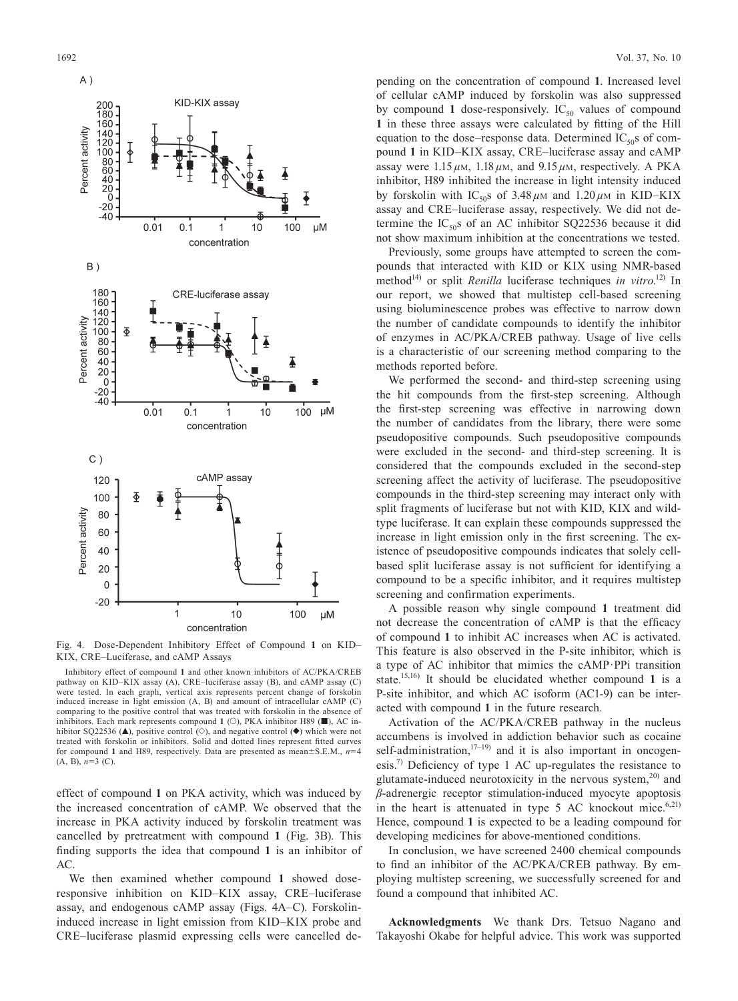

Fig. 4. Dose-Dependent Inhibitory Effect of Compound **1** on KID– KIX, CRE–Luciferase, and cAMP Assays

Inhibitory effect of compound **1** and other known inhibitors of AC/PKA/CREB pathway on KID–KIX assay (A), CRE–luciferase assay (B), and cAMP assay (C) were tested. In each graph, vertical axis represents percent change of forskolin induced increase in light emission (A, B) and amount of intracellular cAMP (C) comparing to the positive control that was treated with forskolin in the absence of inhibitors. Each mark represents compound  $1$  ( $\odot$ ), PKA inhibitor H89 ( $\blacksquare$ ), AC inhibitor SQ22536 ( $\blacktriangle$ ), positive control ( $\diamond$ ), and negative control ( $\blacklozenge$ ) which were not treated with forskolin or inhibitors. Solid and dotted lines represent fitted curves for compound 1 and H89, respectively. Data are presented as mean $\pm$ S.E.M., *n*=4 (A, B), *n*=3 (C).

effect of compound **1** on PKA activity, which was induced by the increased concentration of cAMP. We observed that the increase in PKA activity induced by forskolin treatment was cancelled by pretreatment with compound **1** (Fig. 3B). This finding supports the idea that compound **1** is an inhibitor of AC.

We then examined whether compound **1** showed doseresponsive inhibition on KID–KIX assay, CRE–luciferase assay, and endogenous cAMP assay (Figs. 4A–C). Forskolininduced increase in light emission from KID–KIX probe and CRE–luciferase plasmid expressing cells were cancelled depending on the concentration of compound **1**. Increased level of cellular cAMP induced by forskolin was also suppressed by compound 1 dose-responsively.  $IC_{50}$  values of compound **1** in these three assays were calculated by fitting of the Hill equation to the dose–response data. Determined  $IC_{50}$ s of compound **1** in KID–KIX assay, CRE–luciferase assay and cAMP assay were  $1.15 \mu M$ ,  $1.18 \mu M$ , and  $9.15 \mu M$ , respectively. A PKA inhibitor, H89 inhibited the increase in light intensity induced by forskolin with  $IC_{50}$ s of  $3.48 \mu$ M and  $1.20 \mu$ M in KID–KIX assay and CRE–luciferase assay, respectively. We did not determine the  $IC_{50}$ s of an AC inhibitor SQ22536 because it did not show maximum inhibition at the concentrations we tested.

Previously, some groups have attempted to screen the compounds that interacted with KID or KIX using NMR-based method<sup>14)</sup> or split *Renilla* luciferase techniques *in vitro*.<sup>12)</sup> In our report, we showed that multistep cell-based screening using bioluminescence probes was effective to narrow down the number of candidate compounds to identify the inhibitor of enzymes in AC/PKA/CREB pathway. Usage of live cells is a characteristic of our screening method comparing to the methods reported before.

We performed the second- and third-step screening using the hit compounds from the first-step screening. Although the first-step screening was effective in narrowing down the number of candidates from the library, there were some pseudopositive compounds. Such pseudopositive compounds were excluded in the second- and third-step screening. It is considered that the compounds excluded in the second-step screening affect the activity of luciferase. The pseudopositive compounds in the third-step screening may interact only with split fragments of luciferase but not with KID, KIX and wildtype luciferase. It can explain these compounds suppressed the increase in light emission only in the first screening. The existence of pseudopositive compounds indicates that solely cellbased split luciferase assay is not sufficient for identifying a compound to be a specific inhibitor, and it requires multistep screening and confirmation experiments.

A possible reason why single compound **1** treatment did not decrease the concentration of cAMP is that the efficacy of compound **1** to inhibit AC increases when AC is activated. This feature is also observed in the P-site inhibitor, which is a type of AC inhibitor that mimics the cAMP·PPi transition state.15,16) It should be elucidated whether compound **1** is a P-site inhibitor, and which AC isoform (AC1-9) can be interacted with compound **1** in the future research.

Activation of the AC/PKA/CREB pathway in the nucleus accumbens is involved in addiction behavior such as cocaine self-administration, $17-19$  and it is also important in oncogenesis.<sup>7)</sup> Deficiency of type 1 AC up-regulates the resistance to glutamate-induced neurotoxicity in the nervous system, $20$  and *β*-adrenergic receptor stimulation-induced myocyte apoptosis in the heart is attenuated in type 5 AC knockout mice.<sup>6,21)</sup> Hence, compound **1** is expected to be a leading compound for developing medicines for above-mentioned conditions.

In conclusion, we have screened 2400 chemical compounds to find an inhibitor of the AC/PKA/CREB pathway. By employing multistep screening, we successfully screened for and found a compound that inhibited AC.

**Acknowledgments** We thank Drs. Tetsuo Nagano and Takayoshi Okabe for helpful advice. This work was supported